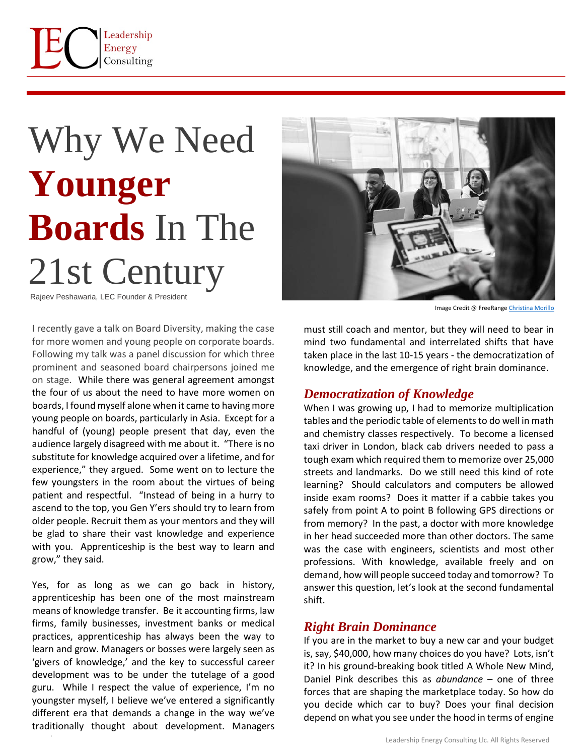

## Why We Need **Younger Boards** In The 21st Century

Rajeev Peshawaria, LEC Founder & President

I recently gave a talk on Board Diversity, making the case for more women and young people on corporate boards. Following my talk was a panel discussion for which three prominent and seasoned board chairpersons joined me on stage. While there was general agreement amongst the four of us about the need to have more women on boards, I found myself alone when it came to having more young people on boards, particularly in Asia. Except for a handful of (young) people present that day, even the audience largely disagreed with me about it. "There is no substitute for knowledge acquired over a lifetime, and for experience," they argued. Some went on to lecture the few youngsters in the room about the virtues of being patient and respectful. "Instead of being in a hurry to ascend to the top, you Gen Y'ers should try to learn from older people. Recruit them as your mentors and they will be glad to share their vast knowledge and experience with you. Apprenticeship is the best way to learn and grow," they said.

Yes, for as long as we can go back in history, apprenticeship has been one of the most mainstream means of knowledge transfer. Be it accounting firms, law firms, family businesses, investment banks or medical practices, apprenticeship has always been the way to learn and grow. Managers or bosses were largely seen as 'givers of knowledge,' and the key to successful career development was to be under the tutelage of a good guru. While I respect the value of experience, I'm no youngster myself, I believe we've entered a significantly different era that demands a change in the way we've traditionally thought about development. Managers

t



Image Credit @ FreeRange [Christina Morillo](https://freerangestock.com/photos/144939/happy-business-people-working-together-in-meeting-room--bw.html)

must still coach and mentor, but they will need to bear in mind two fundamental and interrelated shifts that have taken place in the last 10-15 years - the democratization of knowledge, and the emergence of right brain dominance.

## *Democratization of Knowledge*

When I was growing up, I had to memorize multiplication tables and the periodic table of elements to do well in math and chemistry classes respectively. To become a licensed taxi driver in London, black cab drivers needed to pass a tough exam which required them to memorize over 25,000 streets and landmarks. Do we still need this kind of rote learning? Should calculators and computers be allowed inside exam rooms? Does it matter if a cabbie takes you safely from point A to point B following GPS directions or from memory? In the past, a doctor with more knowledge in her head succeeded more than other doctors. The same was the case with engineers, scientists and most other professions. With knowledge, available freely and on demand, how will people succeed today and tomorrow? To answer this question, let's look at the second fundamental shift.

## *Right Brain Dominance*

If you are in the market to buy a new car and your budget is, say, \$40,000, how many choices do you have? Lots, isn't it? In his ground-breaking book titled A Whole New Mind, Daniel Pink describes this as *abundance* – one of three forces that are shaping the marketplace today. So how do you decide which car to buy? Does your final decision depend on what you see under the hood in terms of engine